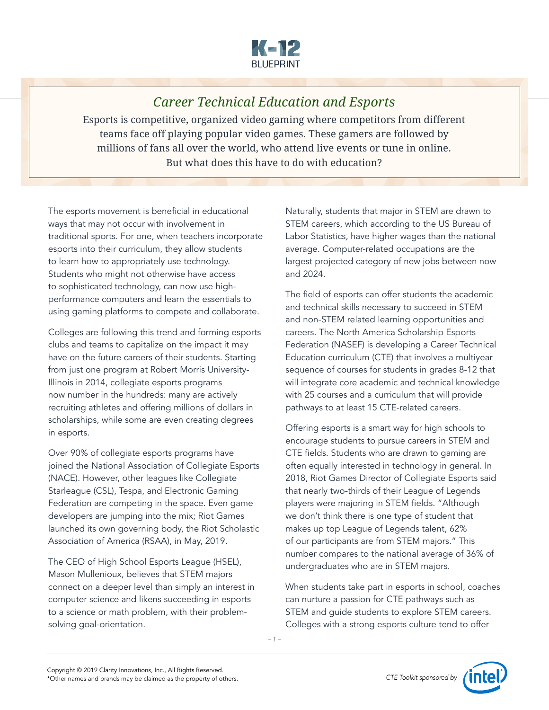

## *Career Technical Education and Esports*

Esports is competitive, organized video gaming where competitors from different teams face off playing popular video games. These gamers are followed by millions of fans all over the world, who attend live events or tune in online. But what does this have to do with education?

The esports movement is beneficial in educational ways that may not occur with involvement in traditional sports. For one, when teachers incorporate esports into their curriculum, they allow students to learn how to appropriately use technology. Students who might not otherwise have access to sophisticated technology, can now use highperformance computers and learn the essentials to using gaming platforms to compete and collaborate.

Colleges are following this trend and forming esports clubs and teams to capitalize on the impact it may have on the future careers of their students. Starting from just one program at Robert Morris University-Illinois in 2014, collegiate esports programs now number in the hundreds: many are actively recruiting athletes and offering millions of dollars in scholarships, while some are even creating degrees in esports.

Over 90% of collegiate esports programs have joined the National Association of Collegiate Esports (NACE). However, other leagues like Collegiate Starleague (CSL), Tespa, and Electronic Gaming Federation are competing in the space. Even game developers are jumping into the mix; Riot Games launched its own governing body, the Riot Scholastic Association of America (RSAA), in May, 2019.

The CEO of High School Esports League (HSEL), Mason Mullenioux, believes that STEM majors connect on a deeper level than simply an interest in computer science and likens succeeding in esports to a science or math problem, with their problemsolving goal-orientation.

Naturally, students that major in STEM are drawn to STEM careers, which according to the US Bureau of Labor Statistics, have higher wages than the national average. Computer-related occupations are the largest projected category of new jobs between now and 2024.

The field of esports can offer students the academic and technical skills necessary to succeed in STEM and non-STEM related learning opportunities and careers. The North America Scholarship Esports Federation (NASEF) is developing a Career Technical Education curriculum (CTE) that involves a multiyear sequence of courses for students in grades 8-12 that will integrate core academic and technical knowledge with 25 courses and a curriculum that will provide pathways to at least 15 CTE-related careers.

Offering esports is a smart way for high schools to encourage students to pursue careers in STEM and CTE fields. Students who are drawn to gaming are often equally interested in technology in general. In 2018, Riot Games Director of Collegiate Esports said that nearly two-thirds of their League of Legends players were majoring in STEM fields. "Although we don't think there is one type of student that makes up top League of Legends talent, 62% of our participants are from STEM majors." This number compares to the national average of 36% of undergraduates who are in STEM majors.

When students take part in esports in school, coaches can nurture a passion for CTE pathways such as STEM and guide students to explore STEM careers. Colleges with a strong esports culture tend to offer